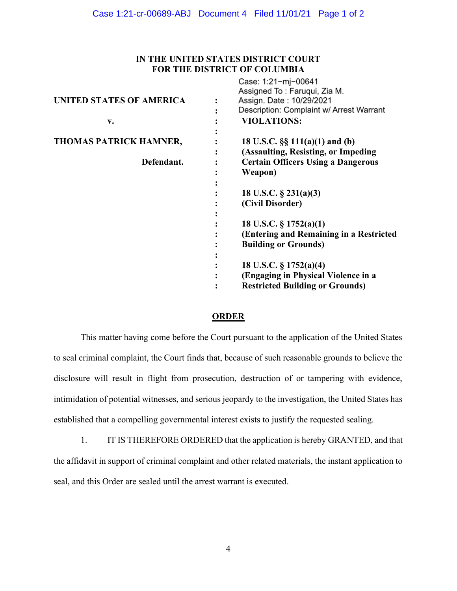## IN THE UNITED STATES DISTRICT COURT FOR THE DISTRICT OF COLUMBIA

|                               |                | Case: 1:21-mj-00641<br>Assigned To: Faruqui, Zia M. |
|-------------------------------|----------------|-----------------------------------------------------|
| UNITED STATES OF AMERICA      | $\ddot{\cdot}$ | Assign. Date: 10/29/2021                            |
|                               |                | Description: Complaint w/ Arrest Warrant            |
| v.                            |                | <b>VIOLATIONS:</b>                                  |
|                               |                |                                                     |
| <b>THOMAS PATRICK HAMNER,</b> |                | 18 U.S.C. $\S\S 111(a)(1)$ and (b)                  |
|                               |                | (Assaulting, Resisting, or Impeding)                |
| Defendant.                    |                | <b>Certain Officers Using a Dangerous</b>           |
|                               |                | Weapon)                                             |
|                               |                |                                                     |
|                               |                | 18 U.S.C. § 231(a)(3)                               |
|                               |                | (Civil Disorder)                                    |
|                               |                |                                                     |
|                               |                | 18 U.S.C. $\S 1752(a)(1)$                           |
|                               |                | (Entering and Remaining in a Restricted             |
|                               |                | <b>Building or Grounds)</b>                         |
|                               |                |                                                     |
|                               |                | 18 U.S.C. $\S 1752(a)(4)$                           |
|                               |                | (Engaging in Physical Violence in a                 |
|                               |                | <b>Restricted Building or Grounds)</b>              |

## **ORDER**

This matter having come before the Court pursuant to the application of the United States to seal criminal complaint, the Court finds that, because of such reasonable grounds to believe the disclosure will result in flight from prosecution, destruction of or tampering with evidence, intimidation of potential witnesses, and serious jeopardy to the investigation, the United States has established that a compelling governmental interest exists to justify the requested sealing.

1. IT IS THEREFORE ORDERED that the application is hereby GRANTED, and that the affidavit in support of criminal complaint and other related materials, the instant application to seal, and this Order are sealed until the arrest warrant is executed.